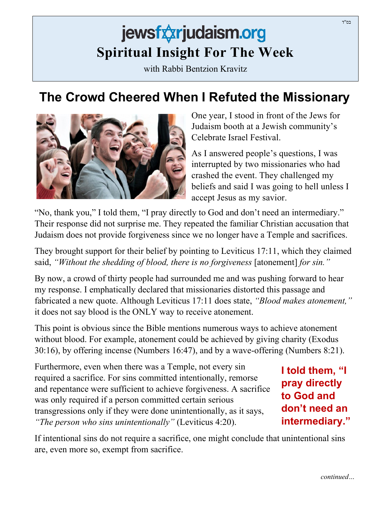## jewsfxxrjudaism.org **Spiritual Insight For The Week**

with Rabbi Bentzion Kravitz

## **The Crowd Cheered When I Refuted the Missionary**



One year, I stood in front of the Jews for Judaism booth at a Jewish community's Celebrate Israel Festival.

As I answered people's questions, I was interrupted by two missionaries who had crashed the event. They challenged my beliefs and said I was going to hell unless I accept Jesus as my savior.

"No, thank you," I told them, "I pray directly to God and don't need an intermediary." Their response did not surprise me. They repeated the familiar Christian accusation that Judaism does not provide forgiveness since we no longer have a Temple and sacrifices.

They brought support for their belief by pointing to Leviticus 17:11, which they claimed said, *"Without the shedding of blood, there is no forgiveness* [atonement] *for sin."*

By now, a crowd of thirty people had surrounded me and was pushing forward to hear my response. I emphatically declared that missionaries distorted this passage and fabricated a new quote. Although Leviticus 17:11 does state, *"Blood makes atonement,"* it does not say blood is the ONLY way to receive atonement.

This point is obvious since the Bible mentions numerous ways to achieve atonement without blood. For example, atonement could be achieved by giving charity (Exodus 30:16), by offering incense (Numbers 16:47), and by a wave-offering (Numbers 8:21).

Furthermore, even when there was a Temple, not every sin required a sacrifice. For sins committed intentionally, remorse and repentance were sufficient to achieve forgiveness. A sacrifice was only required if a person committed certain serious transgressions only if they were done unintentionally, as it says, *"The person who sins unintentionally"* (Leviticus 4:20).

**I told them, "I pray directly to God and don't need an intermediary."**

If intentional sins do not require a sacrifice, one might conclude that unintentional sins are, even more so, exempt from sacrifice.